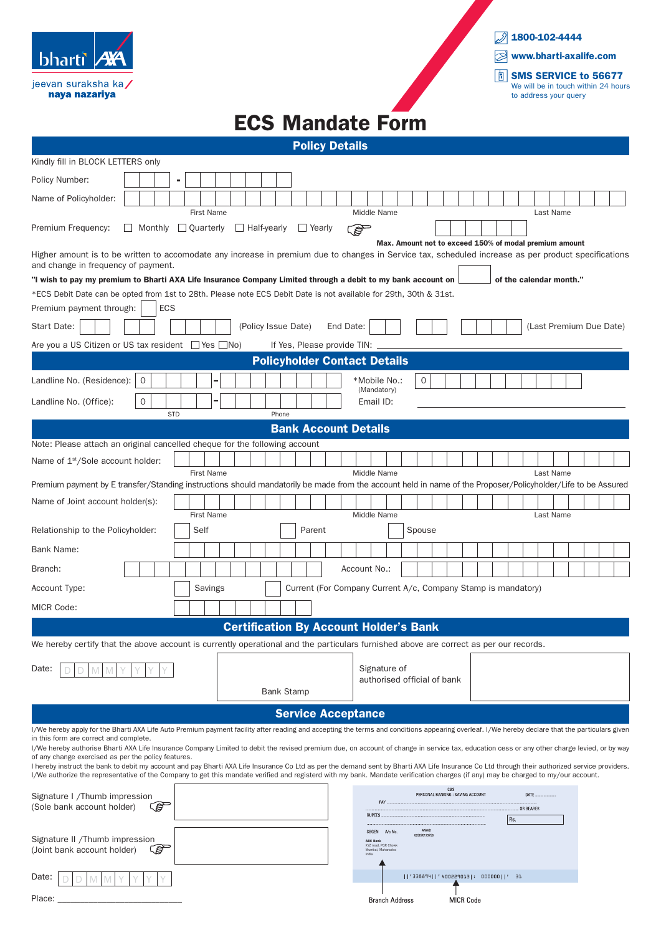| <b>bharti</b>                        | <b>12X4</b> |
|--------------------------------------|-------------|
| jeevan suraksha ka/<br>naya nazariya |             |



## ECS Mandate Form

Policy Details

| Kindly fill in BLOCK LETTERS only                                                                                                                                                                                                                     |                                                                                                                   |   |    |  |                   |         |  |  |                     |                   |  |                             |        |  |  |                                   |                                       |                                                               |  |                                      |  |                                          |  |  |  |  |       |  |                         |  |  |  |
|-------------------------------------------------------------------------------------------------------------------------------------------------------------------------------------------------------------------------------------------------------|-------------------------------------------------------------------------------------------------------------------|---|----|--|-------------------|---------|--|--|---------------------|-------------------|--|-----------------------------|--------|--|--|-----------------------------------|---------------------------------------|---------------------------------------------------------------|--|--------------------------------------|--|------------------------------------------|--|--|--|--|-------|--|-------------------------|--|--|--|
| Policy Number:                                                                                                                                                                                                                                        |                                                                                                                   |   |    |  |                   |         |  |  |                     |                   |  |                             |        |  |  |                                   |                                       |                                                               |  |                                      |  |                                          |  |  |  |  |       |  |                         |  |  |  |
| Name of Policyholder:                                                                                                                                                                                                                                 |                                                                                                                   |   |    |  |                   |         |  |  |                     |                   |  |                             |        |  |  |                                   |                                       |                                                               |  |                                      |  |                                          |  |  |  |  |       |  |                         |  |  |  |
| <b>First Name</b><br>Middle Name<br>Last Name<br>Premium Frequency:<br>Monthly   Quarterly<br>$\Box$ Half-yearly<br>$\Box$ Yearly<br><b>RAD</b><br>Max. Amount not to exceed 150% of modal premium amount                                             |                                                                                                                   |   |    |  |                   |         |  |  |                     |                   |  |                             |        |  |  |                                   |                                       |                                                               |  |                                      |  |                                          |  |  |  |  |       |  |                         |  |  |  |
| Higher amount is to be written to accomodate any increase in premium due to changes in Service tax, scheduled increase as per product specifications<br>and change in frequency of payment.                                                           |                                                                                                                   |   |    |  |                   |         |  |  |                     |                   |  |                             |        |  |  |                                   |                                       |                                                               |  |                                      |  |                                          |  |  |  |  |       |  |                         |  |  |  |
| "I wish to pay my premium to Bharti AXA Life Insurance Company Limited through a debit to my bank account on<br>of the calendar month."                                                                                                               |                                                                                                                   |   |    |  |                   |         |  |  |                     |                   |  |                             |        |  |  |                                   |                                       |                                                               |  |                                      |  |                                          |  |  |  |  |       |  |                         |  |  |  |
|                                                                                                                                                                                                                                                       | *ECS Debit Date can be opted from 1st to 28th. Please note ECS Debit Date is not available for 29th, 30th & 31st. |   |    |  |                   |         |  |  |                     |                   |  |                             |        |  |  |                                   |                                       |                                                               |  |                                      |  |                                          |  |  |  |  |       |  |                         |  |  |  |
|                                                                                                                                                                                                                                                       | <b>ECS</b><br>Premium payment through:                                                                            |   |    |  |                   |         |  |  |                     |                   |  |                             |        |  |  |                                   |                                       |                                                               |  |                                      |  |                                          |  |  |  |  |       |  |                         |  |  |  |
| Start Date:                                                                                                                                                                                                                                           |                                                                                                                   |   |    |  |                   |         |  |  | (Policy Issue Date) |                   |  |                             |        |  |  | End Date:                         |                                       |                                                               |  |                                      |  |                                          |  |  |  |  |       |  | (Last Premium Due Date) |  |  |  |
| Are you a US Citizen or US tax resident □ Yes □ No)<br>If Yes, Please provide TIN:                                                                                                                                                                    |                                                                                                                   |   |    |  |                   |         |  |  |                     |                   |  |                             |        |  |  |                                   |                                       |                                                               |  |                                      |  |                                          |  |  |  |  |       |  |                         |  |  |  |
| <b>Policyholder Contact Details</b>                                                                                                                                                                                                                   |                                                                                                                   |   |    |  |                   |         |  |  |                     |                   |  |                             |        |  |  |                                   |                                       |                                                               |  |                                      |  |                                          |  |  |  |  |       |  |                         |  |  |  |
| Landline No. (Residence):                                                                                                                                                                                                                             |                                                                                                                   | 0 |    |  |                   |         |  |  |                     |                   |  |                             |        |  |  |                                   |                                       | *Mobile No.:<br>(Mandatory)                                   |  | 0                                    |  |                                          |  |  |  |  |       |  |                         |  |  |  |
| $\mathsf{O}$<br>Landline No. (Office):<br>Email ID:                                                                                                                                                                                                   |                                                                                                                   |   |    |  |                   |         |  |  |                     |                   |  |                             |        |  |  |                                   |                                       |                                                               |  |                                      |  |                                          |  |  |  |  |       |  |                         |  |  |  |
| <b>STD</b><br>Phone<br><b>Bank Account Details</b>                                                                                                                                                                                                    |                                                                                                                   |   |    |  |                   |         |  |  |                     |                   |  |                             |        |  |  |                                   |                                       |                                                               |  |                                      |  |                                          |  |  |  |  |       |  |                         |  |  |  |
| Note: Please attach an original cancelled cheque for the following account                                                                                                                                                                            |                                                                                                                   |   |    |  |                   |         |  |  |                     |                   |  |                             |        |  |  |                                   |                                       |                                                               |  |                                      |  |                                          |  |  |  |  |       |  |                         |  |  |  |
| Name of 1 <sup>st</sup> /Sole account holder:                                                                                                                                                                                                         |                                                                                                                   |   |    |  |                   |         |  |  |                     |                   |  |                             |        |  |  |                                   |                                       |                                                               |  |                                      |  |                                          |  |  |  |  |       |  |                         |  |  |  |
|                                                                                                                                                                                                                                                       |                                                                                                                   |   |    |  | <b>First Name</b> |         |  |  |                     |                   |  |                             |        |  |  | Middle Name                       |                                       |                                                               |  |                                      |  |                                          |  |  |  |  |       |  | Last Name               |  |  |  |
| Premium payment by E transfer/Standing instructions should mandatorily be made from the account held in name of the Proposer/Policyholder/Life to be Assured                                                                                          |                                                                                                                   |   |    |  |                   |         |  |  |                     |                   |  |                             |        |  |  |                                   |                                       |                                                               |  |                                      |  |                                          |  |  |  |  |       |  |                         |  |  |  |
| Name of Joint account holder(s):                                                                                                                                                                                                                      |                                                                                                                   |   |    |  | <b>First Name</b> |         |  |  |                     |                   |  |                             |        |  |  | Middle Name                       |                                       |                                                               |  |                                      |  |                                          |  |  |  |  |       |  | Last Name               |  |  |  |
| Relationship to the Policyholder:                                                                                                                                                                                                                     |                                                                                                                   |   |    |  | Self              |         |  |  |                     |                   |  |                             | Parent |  |  |                                   |                                       |                                                               |  | Spouse                               |  |                                          |  |  |  |  |       |  |                         |  |  |  |
| Bank Name:                                                                                                                                                                                                                                            |                                                                                                                   |   |    |  |                   |         |  |  |                     |                   |  |                             |        |  |  |                                   |                                       |                                                               |  |                                      |  |                                          |  |  |  |  |       |  |                         |  |  |  |
| Branch:                                                                                                                                                                                                                                               |                                                                                                                   |   |    |  |                   |         |  |  |                     |                   |  |                             |        |  |  | Account No.:                      |                                       |                                                               |  |                                      |  |                                          |  |  |  |  |       |  |                         |  |  |  |
| Account Type:                                                                                                                                                                                                                                         |                                                                                                                   |   |    |  |                   | Savings |  |  |                     |                   |  |                             |        |  |  |                                   |                                       | Current (For Company Current A/c, Company Stamp is mandatory) |  |                                      |  |                                          |  |  |  |  |       |  |                         |  |  |  |
| <b>MICR Code:</b>                                                                                                                                                                                                                                     |                                                                                                                   |   |    |  |                   |         |  |  |                     |                   |  |                             |        |  |  |                                   |                                       |                                                               |  |                                      |  |                                          |  |  |  |  |       |  |                         |  |  |  |
|                                                                                                                                                                                                                                                       |                                                                                                                   |   |    |  |                   |         |  |  |                     |                   |  |                             |        |  |  |                                   |                                       | <b>Certification By Account Holder's Bank</b>                 |  |                                      |  |                                          |  |  |  |  |       |  |                         |  |  |  |
| We hereby certify that the above account is currently operational and the particulars furnished above are correct as per our records.                                                                                                                 |                                                                                                                   |   |    |  |                   |         |  |  |                     |                   |  |                             |        |  |  |                                   |                                       |                                                               |  |                                      |  |                                          |  |  |  |  |       |  |                         |  |  |  |
| Date:                                                                                                                                                                                                                                                 |                                                                                                                   |   |    |  |                   |         |  |  |                     |                   |  |                             |        |  |  | Signature of                      |                                       |                                                               |  |                                      |  |                                          |  |  |  |  |       |  |                         |  |  |  |
|                                                                                                                                                                                                                                                       |                                                                                                                   |   |    |  |                   |         |  |  |                     |                   |  | authorised official of bank |        |  |  |                                   |                                       |                                                               |  |                                      |  |                                          |  |  |  |  |       |  |                         |  |  |  |
|                                                                                                                                                                                                                                                       |                                                                                                                   |   |    |  |                   |         |  |  |                     | <b>Bank Stamp</b> |  |                             |        |  |  |                                   |                                       |                                                               |  |                                      |  |                                          |  |  |  |  |       |  |                         |  |  |  |
|                                                                                                                                                                                                                                                       |                                                                                                                   |   |    |  |                   |         |  |  |                     |                   |  |                             |        |  |  | <b>Service Acceptance</b>         |                                       |                                                               |  |                                      |  |                                          |  |  |  |  |       |  |                         |  |  |  |
| I/We hereby apply for the Bharti AXA Life Auto Premium payment facility after reading and accepting the terms and conditions appearing overleaf. I/We hereby declare that the particulars given<br>in this form are correct and complete.             |                                                                                                                   |   |    |  |                   |         |  |  |                     |                   |  |                             |        |  |  |                                   |                                       |                                                               |  |                                      |  |                                          |  |  |  |  |       |  |                         |  |  |  |
| I/We hereby authorise Bharti AXA Life Insurance Company Limited to debit the revised premium due, on account of change in service tax, education cess or any other charge levied, or by way                                                           |                                                                                                                   |   |    |  |                   |         |  |  |                     |                   |  |                             |        |  |  |                                   |                                       |                                                               |  |                                      |  |                                          |  |  |  |  |       |  |                         |  |  |  |
| of any change exercised as per the policy features.<br>I hereby instruct the bank to debit my account and pay Bharti AXA Life Insurance Co Ltd as per the demand sent by Bharti AXA Life Insurance Co Ltd through their authorized service providers. |                                                                                                                   |   |    |  |                   |         |  |  |                     |                   |  |                             |        |  |  |                                   |                                       |                                                               |  |                                      |  |                                          |  |  |  |  |       |  |                         |  |  |  |
| I/We authorize the representative of the Company to get this mandate verified and registerd with my bank. Mandate verification charges (if any) may be charged to my/our account.                                                                     |                                                                                                                   |   |    |  |                   |         |  |  |                     |                   |  |                             |        |  |  |                                   |                                       |                                                               |  |                                      |  |                                          |  |  |  |  |       |  |                         |  |  |  |
| Signature I /Thumb impression                                                                                                                                                                                                                         |                                                                                                                   |   |    |  |                   |         |  |  |                     |                   |  |                             |        |  |  |                                   | PAY                                   |                                                               |  |                                      |  | CBS<br>PERSONAL BANKING : SAVING ACCOUNT |  |  |  |  | DATE. |  |                         |  |  |  |
| <u>ta </u><br>(Sole bank account holder)                                                                                                                                                                                                              |                                                                                                                   |   |    |  |                   |         |  |  |                     |                   |  |                             |        |  |  | OR BEARER<br><b>RUPEES</b><br>Rs. |                                       |                                                               |  |                                      |  |                                          |  |  |  |  |       |  |                         |  |  |  |
|                                                                                                                                                                                                                                                       |                                                                                                                   |   |    |  |                   |         |  |  |                     |                   |  |                             |        |  |  |                                   | SBGEN                                 | A/c No                                                        |  | ANV/B<br>005070123756                |  |                                          |  |  |  |  |       |  |                         |  |  |  |
| Signature II /Thumb impression<br>(Joint bank account holder)                                                                                                                                                                                         |                                                                                                                   |   | తో |  |                   |         |  |  |                     |                   |  |                             |        |  |  |                                   | <b>ABC Bank</b><br>Mumbai, Maharastra | XYZ road, PQR Chowl-                                          |  |                                      |  |                                          |  |  |  |  |       |  |                         |  |  |  |
|                                                                                                                                                                                                                                                       |                                                                                                                   |   |    |  |                   |         |  |  |                     |                   |  |                             |        |  |  |                                   |                                       |                                                               |  |                                      |  |                                          |  |  |  |  |       |  |                         |  |  |  |
| Date:                                                                                                                                                                                                                                                 |                                                                                                                   |   |    |  |                   |         |  |  |                     |                   |  |                             |        |  |  |                                   |                                       |                                                               |  | 1 '338894  '400229013 : 000000  ' 31 |  |                                          |  |  |  |  |       |  |                         |  |  |  |
| Place:                                                                                                                                                                                                                                                |                                                                                                                   |   |    |  |                   |         |  |  |                     |                   |  |                             |        |  |  |                                   |                                       | <b>Branch Address</b>                                         |  |                                      |  | <b>MICR Code</b>                         |  |  |  |  |       |  |                         |  |  |  |